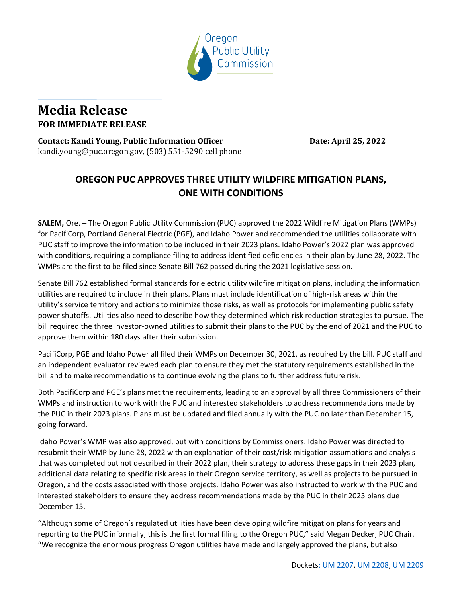

## **Media Release FOR IMMEDIATE RELEASE**

**Contact: Kandi Young, Public Information Officer <b>Date: April 25, 2022** kandi.young@puc.oregon.gov, (503) 551-5290 cell phone

## **OREGON PUC APPROVES THREE UTILITY WILDFIRE MITIGATION PLANS, ONE WITH CONDITIONS**

**SALEM,** Ore. – The Oregon Public Utility Commission (PUC) approved the 2022 Wildfire Mitigation Plans (WMPs) for PacifiCorp, Portland General Electric (PGE), and Idaho Power and recommended the utilities collaborate with PUC staff to improve the information to be included in their 2023 plans. Idaho Power's 2022 plan was approved with conditions, requiring a compliance filing to address identified deficiencies in their plan by June 28, 2022. The WMPs are the first to be filed since Senate Bill 762 passed during the 2021 legislative session.

Senate Bill 762 established formal standards for electric utility wildfire mitigation plans, including the information utilities are required to include in their plans. Plans must include identification of high-risk areas within the utility's service territory and actions to minimize those risks, as well as protocols for implementing public safety power shutoffs. Utilities also need to describe how they determined which risk reduction strategies to pursue. The bill required the three investor-owned utilities to submit their plans to the PUC by the end of 2021 and the PUC to approve them within 180 days after their submission.

PacifiCorp, PGE and Idaho Power all filed their WMPs on December 30, 2021, as required by the bill. PUC staff and an independent evaluator reviewed each plan to ensure they met the statutory requirements established in the bill and to make recommendations to continue evolving the plans to further address future risk.

Both PacifiCorp and PGE's plans met the requirements, leading to an approval by all three Commissioners of their WMPs and instruction to work with the PUC and interested stakeholders to address recommendations made by the PUC in their 2023 plans. Plans must be updated and filed annually with the PUC no later than December 15, going forward.

Idaho Power's WMP was also approved, but with conditions by Commissioners. Idaho Power was directed to resubmit their WMP by June 28, 2022 with an explanation of their cost/risk mitigation assumptions and analysis that was completed but not described in their 2022 plan, their strategy to address these gaps in their 2023 plan, additional data relating to specific risk areas in their Oregon service territory, as well as projects to be pursued in Oregon, and the costs associated with those projects. Idaho Power was also instructed to work with the PUC and interested stakeholders to ensure they address recommendations made by the PUC in their 2023 plans due December 15.

"Although some of Oregon's regulated utilities have been developing wildfire mitigation plans for years and reporting to the PUC informally, this is the first formal filing to the Oregon PUC," said Megan Decker, PUC Chair. "We recognize the enormous progress Oregon utilities have made and largely approved the plans, but also